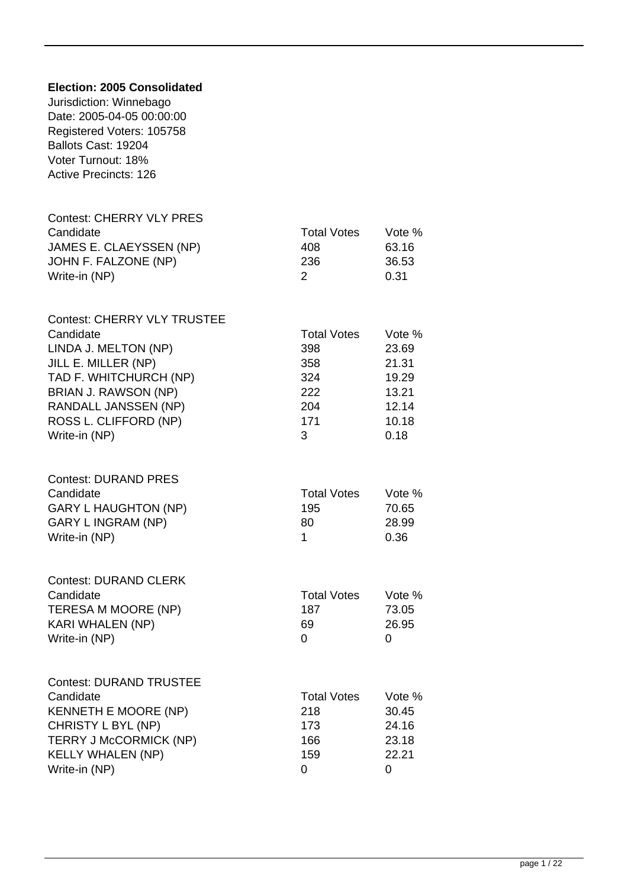| Election: 2005 Consolidated<br>Jurisdiction: Winnebago<br>Date: 2005-04-05 00:00:00<br>Registered Voters: 105758<br>Ballots Cast: 19204<br>Voter Turnout: 18%<br><b>Active Precincts: 126</b>                      |                                                                   |                                                                      |
|--------------------------------------------------------------------------------------------------------------------------------------------------------------------------------------------------------------------|-------------------------------------------------------------------|----------------------------------------------------------------------|
| <b>Contest: CHERRY VLY PRES</b><br>Candidate<br>JAMES E. CLAEYSSEN (NP)<br>JOHN F. FALZONE (NP)<br>Write-in (NP)                                                                                                   | <b>Total Votes</b><br>408<br>236<br>2                             | Vote %<br>63.16<br>36.53<br>0.31                                     |
| <b>Contest: CHERRY VLY TRUSTEE</b><br>Candidate<br>LINDA J. MELTON (NP)<br>JILL E. MILLER (NP)<br>TAD F. WHITCHURCH (NP)<br>BRIAN J. RAWSON (NP)<br>RANDALL JANSSEN (NP)<br>ROSS L. CLIFFORD (NP)<br>Write-in (NP) | <b>Total Votes</b><br>398<br>358<br>324<br>222<br>204<br>171<br>3 | Vote %<br>23.69<br>21.31<br>19.29<br>13.21<br>12.14<br>10.18<br>0.18 |
| <b>Contest: DURAND PRES</b><br>Candidate<br><b>GARY L HAUGHTON (NP)</b><br><b>GARY L INGRAM (NP)</b><br>Write-in (NP)                                                                                              | <b>Total Votes</b><br>195<br>80<br>1                              | Vote %<br>70.65<br>28.99<br>0.36                                     |
| <b>Contest: DURAND CLERK</b><br>Candidate<br>TERESA M MOORE (NP)<br>KARI WHALEN (NP)<br>Write-in (NP)                                                                                                              | <b>Total Votes</b><br>187<br>69<br>0                              | Vote %<br>73.05<br>26.95<br>0                                        |
| <b>Contest: DURAND TRUSTEE</b><br>Candidate<br><b>KENNETH E MOORE (NP)</b><br>CHRISTY L BYL (NP)<br><b>TERRY J McCORMICK (NP)</b><br><b>KELLY WHALEN (NP)</b><br>Write-in (NP)                                     | <b>Total Votes</b><br>218<br>173<br>166<br>159<br>0               | Vote %<br>30.45<br>24.16<br>23.18<br>22.21<br>0                      |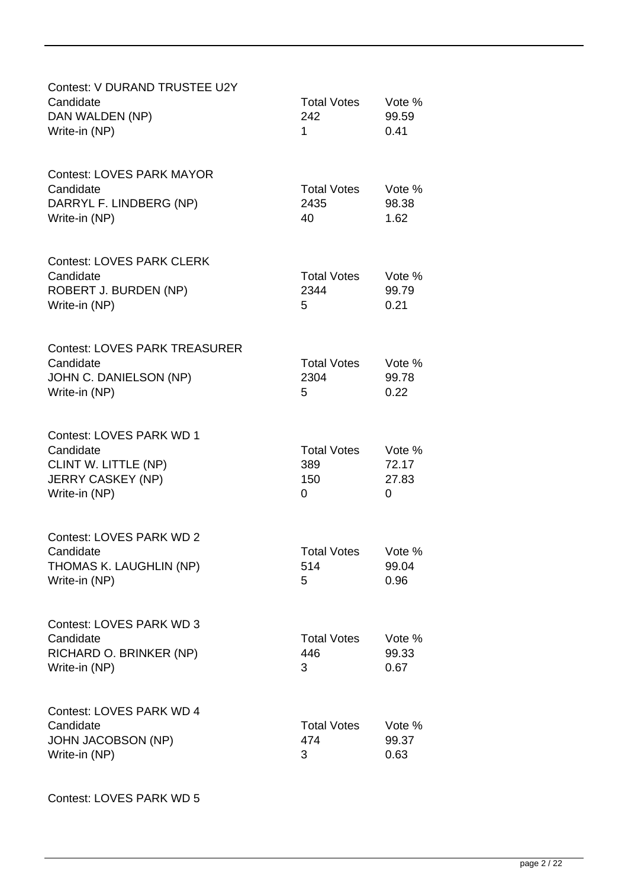| Contest: V DURAND TRUSTEE U2Y<br>Candidate<br>DAN WALDEN (NP)<br>Write-in (NP)                             | <b>Total Votes</b><br>242<br>1        | Vote %<br>99.59<br>0.41       |
|------------------------------------------------------------------------------------------------------------|---------------------------------------|-------------------------------|
| <b>Contest: LOVES PARK MAYOR</b><br>Candidate<br>DARRYL F. LINDBERG (NP)<br>Write-in (NP)                  | <b>Total Votes</b><br>2435<br>40      | Vote %<br>98.38<br>1.62       |
| <b>Contest: LOVES PARK CLERK</b><br>Candidate<br>ROBERT J. BURDEN (NP)<br>Write-in (NP)                    | <b>Total Votes</b><br>2344<br>5       | Vote %<br>99.79<br>0.21       |
| <b>Contest: LOVES PARK TREASURER</b><br>Candidate<br>JOHN C. DANIELSON (NP)<br>Write-in (NP)               | <b>Total Votes</b><br>2304<br>5       | Vote %<br>99.78<br>0.22       |
| Contest: LOVES PARK WD 1<br>Candidate<br>CLINT W. LITTLE (NP)<br><b>JERRY CASKEY (NP)</b><br>Write-in (NP) | <b>Total Votes</b><br>389<br>150<br>0 | Vote %<br>72.17<br>27.83<br>0 |
| <b>Contest: LOVES PARK WD 2</b><br>Candidate<br>THOMAS K. LAUGHLIN (NP)<br>Write-in (NP)                   | <b>Total Votes</b><br>514<br>5        | Vote %<br>99.04<br>0.96       |
| Contest: LOVES PARK WD 3<br>Candidate<br>RICHARD O. BRINKER (NP)<br>Write-in (NP)                          | <b>Total Votes</b><br>446<br>3        | Vote %<br>99.33<br>0.67       |
| Contest: LOVES PARK WD 4<br>Candidate<br><b>JOHN JACOBSON (NP)</b><br>Write-in (NP)                        | <b>Total Votes</b><br>474<br>3        | Vote %<br>99.37<br>0.63       |

Contest: LOVES PARK WD 5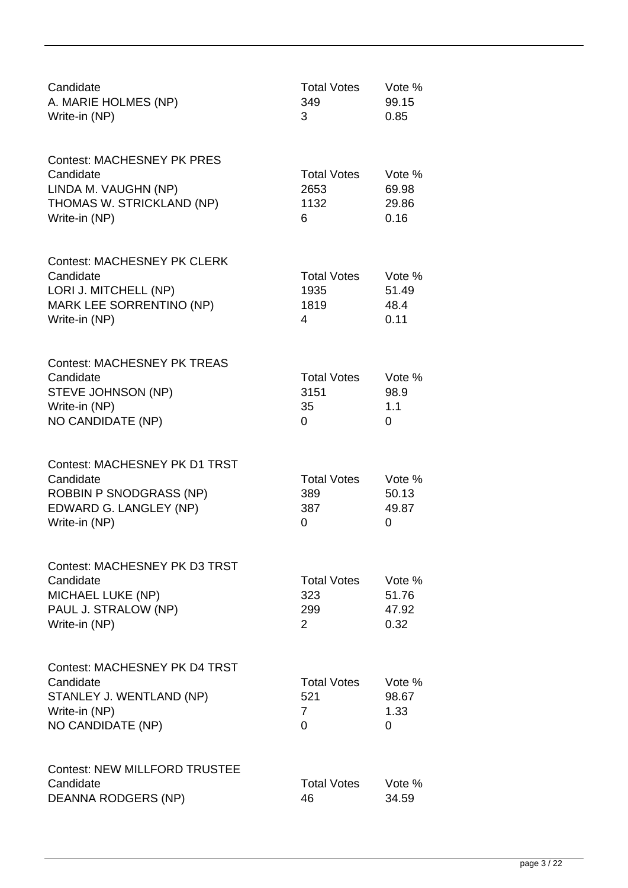| Candidate<br>A. MARIE HOLMES (NP)<br>Write-in (NP)                                                                             | <b>Total Votes</b><br>349<br>3                     | Vote %<br>99.15<br>0.85          |
|--------------------------------------------------------------------------------------------------------------------------------|----------------------------------------------------|----------------------------------|
| <b>Contest: MACHESNEY PK PRES</b><br>Candidate<br>LINDA M. VAUGHN (NP)<br>THOMAS W. STRICKLAND (NP)<br>Write-in (NP)           | <b>Total Votes</b><br>2653<br>1132<br>6            | Vote %<br>69.98<br>29.86<br>0.16 |
| <b>Contest: MACHESNEY PK CLERK</b><br>Candidate<br>LORI J. MITCHELL (NP)<br>MARK LEE SORRENTINO (NP)<br>Write-in (NP)          | <b>Total Votes</b><br>1935<br>1819<br>4            | Vote %<br>51.49<br>48.4<br>0.11  |
| <b>Contest: MACHESNEY PK TREAS</b><br>Candidate<br>STEVE JOHNSON (NP)<br>Write-in (NP)<br>NO CANDIDATE (NP)                    | <b>Total Votes</b><br>3151<br>35<br>0              | Vote %<br>98.9<br>1.1<br>0       |
| <b>Contest: MACHESNEY PK D1 TRST</b><br>Candidate<br><b>ROBBIN P SNODGRASS (NP)</b><br>EDWARD G. LANGLEY (NP)<br>Write-in (NP) | <b>Total Votes</b><br>389<br>387<br>0              | Vote %<br>50.13<br>49.87<br>0    |
| <b>Contest: MACHESNEY PK D3 TRST</b><br>Candidate<br><b>MICHAEL LUKE (NP)</b><br>PAUL J. STRALOW (NP)<br>Write-in (NP)         | <b>Total Votes</b><br>323<br>299<br>$\overline{2}$ | Vote %<br>51.76<br>47.92<br>0.32 |
| <b>Contest: MACHESNEY PK D4 TRST</b><br>Candidate<br>STANLEY J. WENTLAND (NP)<br>Write-in (NP)<br>NO CANDIDATE (NP)            | <b>Total Votes</b><br>521<br>7<br>0                | Vote %<br>98.67<br>1.33<br>0     |
| <b>Contest: NEW MILLFORD TRUSTEE</b><br>Candidate<br>DEANNA RODGERS (NP)                                                       | <b>Total Votes</b><br>46                           | Vote %<br>34.59                  |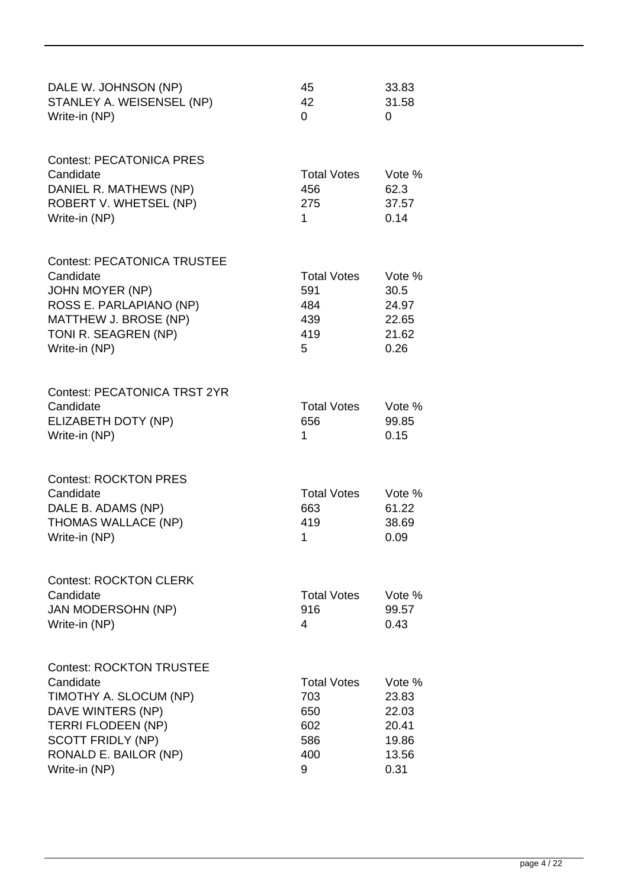| DALE W. JOHNSON (NP)<br>STANLEY A. WEISENSEL (NP)<br>Write-in (NP)                                                                                                                             | 45<br>42<br>$\Omega$                                       | 33.83<br>31.58<br>0                                           |
|------------------------------------------------------------------------------------------------------------------------------------------------------------------------------------------------|------------------------------------------------------------|---------------------------------------------------------------|
| <b>Contest: PECATONICA PRES</b><br>Candidate<br>DANIEL R. MATHEWS (NP)<br>ROBERT V. WHETSEL (NP)<br>Write-in (NP)                                                                              | <b>Total Votes</b><br>456<br>275<br>1                      | Vote %<br>62.3<br>37.57<br>0.14                               |
| <b>Contest: PECATONICA TRUSTEE</b><br>Candidate<br><b>JOHN MOYER (NP)</b><br>ROSS E. PARLAPIANO (NP)<br>MATTHEW J. BROSE (NP)<br>TONI R. SEAGREN (NP)<br>Write-in (NP)                         | <b>Total Votes</b><br>591<br>484<br>439<br>419<br>5        | Vote %<br>30.5<br>24.97<br>22.65<br>21.62<br>0.26             |
| <b>Contest: PECATONICA TRST 2YR</b><br>Candidate<br>ELIZABETH DOTY (NP)<br>Write-in (NP)                                                                                                       | <b>Total Votes</b><br>656<br>1                             | Vote %<br>99.85<br>0.15                                       |
| <b>Contest: ROCKTON PRES</b><br>Candidate<br>DALE B. ADAMS (NP)<br>THOMAS WALLACE (NP)<br>Write-in (NP)                                                                                        | <b>Total Votes</b><br>663<br>419<br>1                      | Vote %<br>61.22<br>38.69<br>0.09                              |
| <b>Contest: ROCKTON CLERK</b><br>Candidate<br><b>JAN MODERSOHN (NP)</b><br>Write-in (NP)                                                                                                       | <b>Total Votes</b><br>916<br>4                             | Vote %<br>99.57<br>0.43                                       |
| <b>Contest: ROCKTON TRUSTEE</b><br>Candidate<br>TIMOTHY A. SLOCUM (NP)<br>DAVE WINTERS (NP)<br><b>TERRI FLODEEN (NP)</b><br><b>SCOTT FRIDLY (NP)</b><br>RONALD E. BAILOR (NP)<br>Write-in (NP) | <b>Total Votes</b><br>703<br>650<br>602<br>586<br>400<br>9 | Vote $%$<br>23.83<br>22.03<br>20.41<br>19.86<br>13.56<br>0.31 |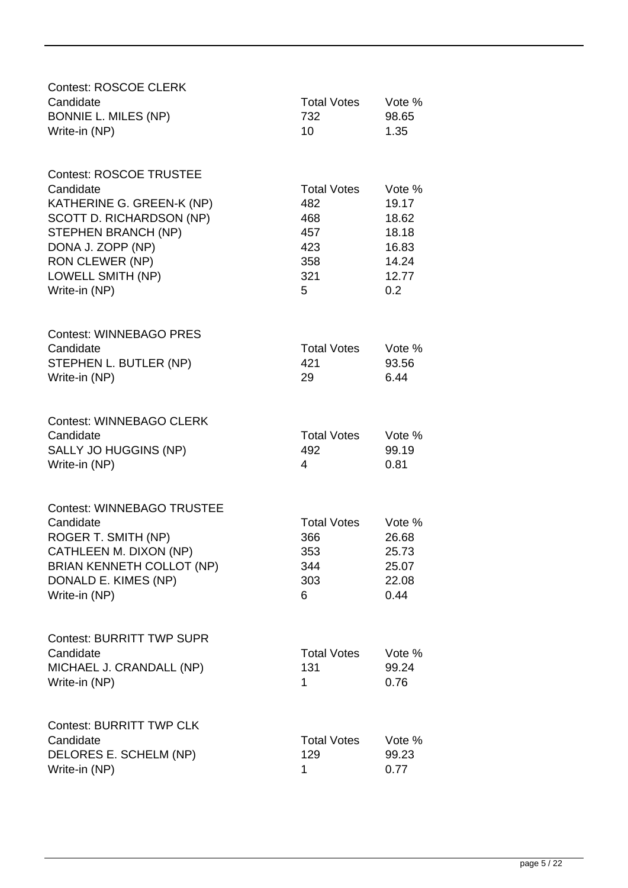| <b>Contest: ROSCOE CLERK</b><br>Candidate<br><b>BONNIE L. MILES (NP)</b><br>Write-in (NP)                                                                                                                        | <b>Total Votes</b><br>732<br>10                                   | Vote %<br>98.65<br>1.35                                             |
|------------------------------------------------------------------------------------------------------------------------------------------------------------------------------------------------------------------|-------------------------------------------------------------------|---------------------------------------------------------------------|
| <b>Contest: ROSCOE TRUSTEE</b><br>Candidate<br>KATHERINE G. GREEN-K (NP)<br>SCOTT D. RICHARDSON (NP)<br>STEPHEN BRANCH (NP)<br>DONA J. ZOPP (NP)<br><b>RON CLEWER (NP)</b><br>LOWELL SMITH (NP)<br>Write-in (NP) | <b>Total Votes</b><br>482<br>468<br>457<br>423<br>358<br>321<br>5 | Vote %<br>19.17<br>18.62<br>18.18<br>16.83<br>14.24<br>12.77<br>0.2 |
| <b>Contest: WINNEBAGO PRES</b><br>Candidate<br>STEPHEN L. BUTLER (NP)<br>Write-in (NP)                                                                                                                           | <b>Total Votes</b><br>421<br>29                                   | Vote %<br>93.56<br>6.44                                             |
| <b>Contest: WINNEBAGO CLERK</b><br>Candidate<br>SALLY JO HUGGINS (NP)<br>Write-in (NP)                                                                                                                           | <b>Total Votes</b><br>492<br>4                                    | Vote %<br>99.19<br>0.81                                             |
| <b>Contest: WINNEBAGO TRUSTEE</b><br>Candidate<br>ROGER T. SMITH (NP)<br>CATHLEEN M. DIXON (NP)<br><b>BRIAN KENNETH COLLOT (NP)</b><br>DONALD E. KIMES (NP)<br>Write-in (NP)                                     | <b>Total Votes</b><br>366<br>353<br>344<br>303<br>6               | Vote %<br>26.68<br>25.73<br>25.07<br>22.08<br>0.44                  |
| <b>Contest: BURRITT TWP SUPR</b><br>Candidate<br>MICHAEL J. CRANDALL (NP)<br>Write-in (NP)                                                                                                                       | <b>Total Votes</b><br>131<br>1                                    | Vote %<br>99.24<br>0.76                                             |
| <b>Contest: BURRITT TWP CLK</b><br>Candidate<br>DELORES E. SCHELM (NP)<br>Write-in (NP)                                                                                                                          | <b>Total Votes</b><br>129<br>1                                    | Vote %<br>99.23<br>0.77                                             |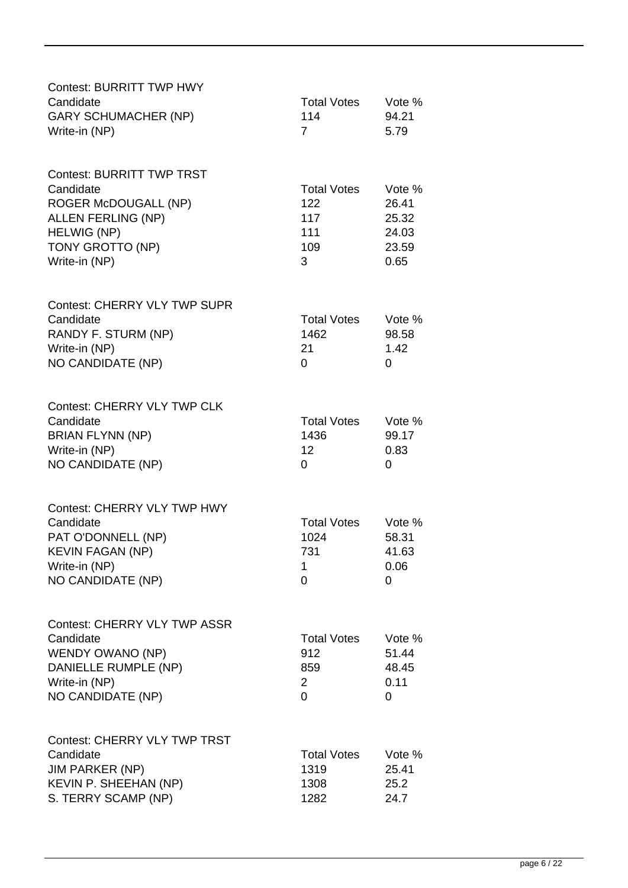| <b>Contest: BURRITT TWP HWY</b><br>Candidate<br><b>GARY SCHUMACHER (NP)</b><br>Write-in (NP)                                                                         | <b>Total Votes</b><br>114<br>$\overline{7}$             | Vote %<br>94.21<br>5.79                            |
|----------------------------------------------------------------------------------------------------------------------------------------------------------------------|---------------------------------------------------------|----------------------------------------------------|
| <b>Contest: BURRITT TWP TRST</b><br>Candidate<br><b>ROGER McDOUGALL (NP)</b><br><b>ALLEN FERLING (NP)</b><br><b>HELWIG (NP)</b><br>TONY GROTTO (NP)<br>Write-in (NP) | <b>Total Votes</b><br>122<br>117<br>111<br>109<br>3     | Vote %<br>26.41<br>25.32<br>24.03<br>23.59<br>0.65 |
| <b>Contest: CHERRY VLY TWP SUPR</b><br>Candidate<br>RANDY F. STURM (NP)<br>Write-in (NP)<br>NO CANDIDATE (NP)                                                        | <b>Total Votes</b><br>1462<br>21<br>0                   | Vote %<br>98.58<br>1.42<br>0                       |
| Contest: CHERRY VLY TWP CLK<br>Candidate<br><b>BRIAN FLYNN (NP)</b><br>Write-in (NP)<br>NO CANDIDATE (NP)                                                            | <b>Total Votes</b><br>1436<br>12<br>0                   | Vote %<br>99.17<br>0.83<br>0                       |
| <b>Contest: CHERRY VLY TWP HWY</b><br>Candidate<br>PAT O'DONNELL (NP)<br><b>KEVIN FAGAN (NP)</b><br>Write-in (NP)<br>NO CANDIDATE (NP)                               | <b>Total Votes</b><br>1024<br>731<br>1<br>0             | Vote %<br>58.31<br>41.63<br>0.06<br>0              |
| <b>Contest: CHERRY VLY TWP ASSR</b><br>Candidate<br>WENDY OWANO (NP)<br>DANIELLE RUMPLE (NP)<br>Write-in (NP)<br>NO CANDIDATE (NP)                                   | <b>Total Votes</b><br>912<br>859<br>$\overline{2}$<br>0 | Vote %<br>51.44<br>48.45<br>0.11<br>0              |
| <b>Contest: CHERRY VLY TWP TRST</b><br>Candidate<br><b>JIM PARKER (NP)</b><br>KEVIN P. SHEEHAN (NP)<br>S. TERRY SCAMP (NP)                                           | <b>Total Votes</b><br>1319<br>1308<br>1282              | Vote %<br>25.41<br>25.2<br>24.7                    |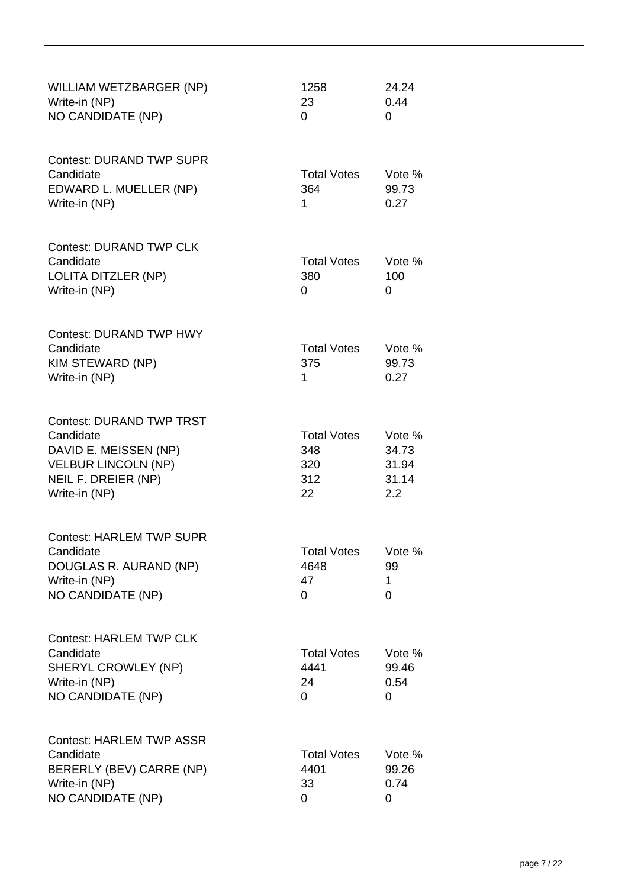| WILLIAM WETZBARGER (NP)<br>Write-in (NP)<br>NO CANDIDATE (NP)                                                                               | 1258<br>23<br>$\Omega$                        | 24.24<br>0.44<br>0                       |
|---------------------------------------------------------------------------------------------------------------------------------------------|-----------------------------------------------|------------------------------------------|
| <b>Contest: DURAND TWP SUPR</b><br>Candidate<br>EDWARD L. MUELLER (NP)<br>Write-in (NP)                                                     | <b>Total Votes</b><br>364<br>1                | Vote %<br>99.73<br>0.27                  |
| <b>Contest: DURAND TWP CLK</b><br>Candidate<br>LOLITA DITZLER (NP)<br>Write-in (NP)                                                         | <b>Total Votes</b><br>380<br>0                | Vote %<br>100<br>0                       |
| <b>Contest: DURAND TWP HWY</b><br>Candidate<br>KIM STEWARD (NP)<br>Write-in (NP)                                                            | <b>Total Votes</b><br>375<br>1                | Vote %<br>99.73<br>0.27                  |
| <b>Contest: DURAND TWP TRST</b><br>Candidate<br>DAVID E. MEISSEN (NP)<br><b>VELBUR LINCOLN (NP)</b><br>NEIL F. DREIER (NP)<br>Write-in (NP) | <b>Total Votes</b><br>348<br>320<br>312<br>22 | Vote %<br>34.73<br>31.94<br>31.14<br>2.2 |
| <b>Contest: HARLEM TWP SUPR</b><br>Candidate<br>DOUGLAS R. AURAND (NP)<br>Write-in (NP)<br><b>NO CANDIDATE (NP)</b>                         | <b>Total Votes</b><br>4648<br>47<br>0         | Vote %<br>99<br>1<br>0                   |
| <b>Contest: HARLEM TWP CLK</b><br>Candidate<br>SHERYL CROWLEY (NP)<br>Write-in (NP)<br>NO CANDIDATE (NP)                                    | <b>Total Votes</b><br>4441<br>24<br>0         | Vote %<br>99.46<br>0.54<br>0             |
| <b>Contest: HARLEM TWP ASSR</b><br>Candidate<br>BERERLY (BEV) CARRE (NP)<br>Write-in (NP)<br>NO CANDIDATE (NP)                              | <b>Total Votes</b><br>4401<br>33<br>0         | Vote %<br>99.26<br>0.74<br>0             |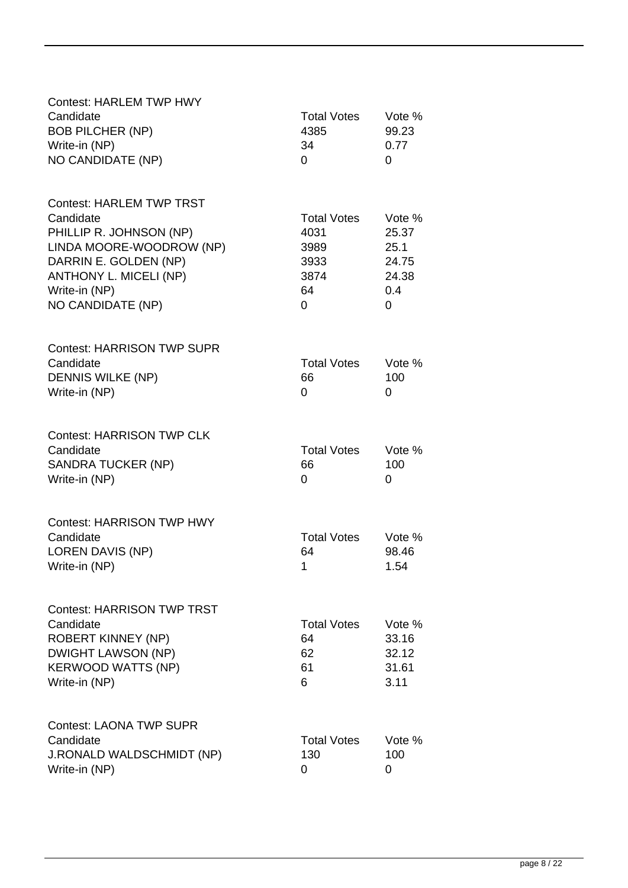| <b>Contest: HARLEM TWP HWY</b><br>Candidate         | <b>Total Votes</b>       | Vote %          |
|-----------------------------------------------------|--------------------------|-----------------|
| <b>BOB PILCHER (NP)</b>                             | 4385                     | 99.23           |
| Write-in (NP)<br><b>NO CANDIDATE (NP)</b>           | 34<br>0                  | 0.77<br>0       |
|                                                     |                          |                 |
| <b>Contest: HARLEM TWP TRST</b>                     |                          |                 |
| Candidate                                           | <b>Total Votes</b>       | Vote %          |
| PHILLIP R. JOHNSON (NP)<br>LINDA MOORE-WOODROW (NP) | 4031<br>3989             | 25.37<br>25.1   |
| DARRIN E. GOLDEN (NP)                               | 3933                     | 24.75           |
| ANTHONY L. MICELI (NP)                              | 3874                     | 24.38           |
| Write-in (NP)                                       | 64                       | 0.4             |
| NO CANDIDATE (NP)                                   | 0                        | $\overline{0}$  |
| <b>Contest: HARRISON TWP SUPR</b>                   |                          |                 |
| Candidate                                           | <b>Total Votes</b>       | Vote %          |
| <b>DENNIS WILKE (NP)</b><br>Write-in (NP)           | 66<br>0                  | 100<br>0        |
|                                                     |                          |                 |
| <b>Contest: HARRISON TWP CLK</b>                    |                          |                 |
| Candidate<br><b>SANDRA TUCKER (NP)</b>              | <b>Total Votes</b><br>66 | Vote %<br>100   |
| Write-in (NP)                                       | 0                        | 0               |
|                                                     |                          |                 |
| <b>Contest: HARRISON TWP HWY</b>                    |                          |                 |
| Candidate                                           | <b>Total Votes</b>       | Vote %          |
| <b>LOREN DAVIS (NP)</b><br>Write-in (NP)            | 64<br>$\mathbf 1$        | 98.46<br>1.54   |
|                                                     |                          |                 |
| <b>Contest: HARRISON TWP TRST</b>                   |                          |                 |
| Candidate<br><b>ROBERT KINNEY (NP)</b>              | <b>Total Votes</b><br>64 | Vote %<br>33.16 |
| <b>DWIGHT LAWSON (NP)</b>                           | 62                       | 32.12           |
| <b>KERWOOD WATTS (NP)</b>                           | 61                       | 31.61           |
| Write-in (NP)                                       | 6                        | 3.11            |
| <b>Contest: LAONA TWP SUPR</b>                      |                          |                 |
| Candidate                                           | <b>Total Votes</b>       | Vote %          |
| <b>J.RONALD WALDSCHMIDT (NP)</b>                    | 130                      | 100             |
| Write-in (NP)                                       | 0                        | 0               |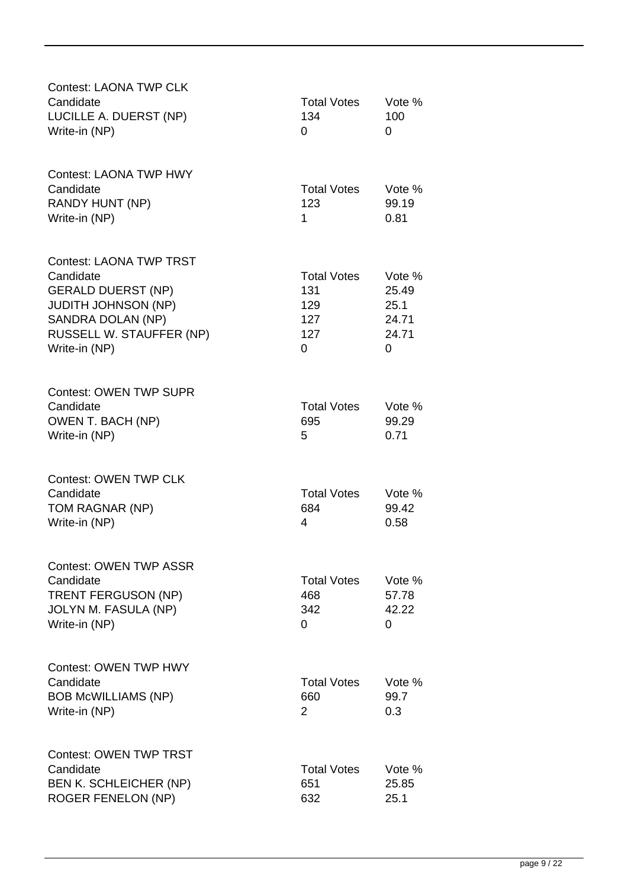| <b>Contest: LAONA TWP CLK</b>                                                                                                                                            |                                                     |                                                |
|--------------------------------------------------------------------------------------------------------------------------------------------------------------------------|-----------------------------------------------------|------------------------------------------------|
| Candidate<br>LUCILLE A. DUERST (NP)<br>Write-in (NP)                                                                                                                     | <b>Total Votes</b><br>134<br>$\Omega$               | Vote %<br>100<br>0                             |
| <b>Contest: LAONA TWP HWY</b><br>Candidate<br><b>RANDY HUNT (NP)</b><br>Write-in (NP)                                                                                    | <b>Total Votes</b><br>123<br>1                      | Vote %<br>99.19<br>0.81                        |
| <b>Contest: LAONA TWP TRST</b><br>Candidate<br><b>GERALD DUERST (NP)</b><br><b>JUDITH JOHNSON (NP)</b><br>SANDRA DOLAN (NP)<br>RUSSELL W. STAUFFER (NP)<br>Write-in (NP) | <b>Total Votes</b><br>131<br>129<br>127<br>127<br>0 | Vote %<br>25.49<br>25.1<br>24.71<br>24.71<br>0 |
| <b>Contest: OWEN TWP SUPR</b><br>Candidate<br>OWEN T. BACH (NP)<br>Write-in (NP)                                                                                         | <b>Total Votes</b><br>695<br>5                      | Vote %<br>99.29<br>0.71                        |
| <b>Contest: OWEN TWP CLK</b><br>Candidate<br>TOM RAGNAR (NP)<br>Write-in (NP)                                                                                            | <b>Total Votes</b><br>684<br>4                      | Vote %<br>99.42<br>0.58                        |
| <b>Contest: OWEN TWP ASSR</b><br>Candidate<br><b>TRENT FERGUSON (NP)</b><br>JOLYN M. FASULA (NP)<br>Write-in (NP)                                                        | <b>Total Votes</b><br>468<br>342<br>0               | Vote %<br>57.78<br>42.22<br>0                  |
| <b>Contest: OWEN TWP HWY</b><br>Candidate<br><b>BOB McWILLIAMS (NP)</b><br>Write-in (NP)                                                                                 | <b>Total Votes</b><br>660<br>2                      | Vote %<br>99.7<br>0.3                          |
| <b>Contest: OWEN TWP TRST</b><br>Candidate<br>BEN K. SCHLEICHER (NP)<br><b>ROGER FENELON (NP)</b>                                                                        | <b>Total Votes</b><br>651<br>632                    | Vote %<br>25.85<br>25.1                        |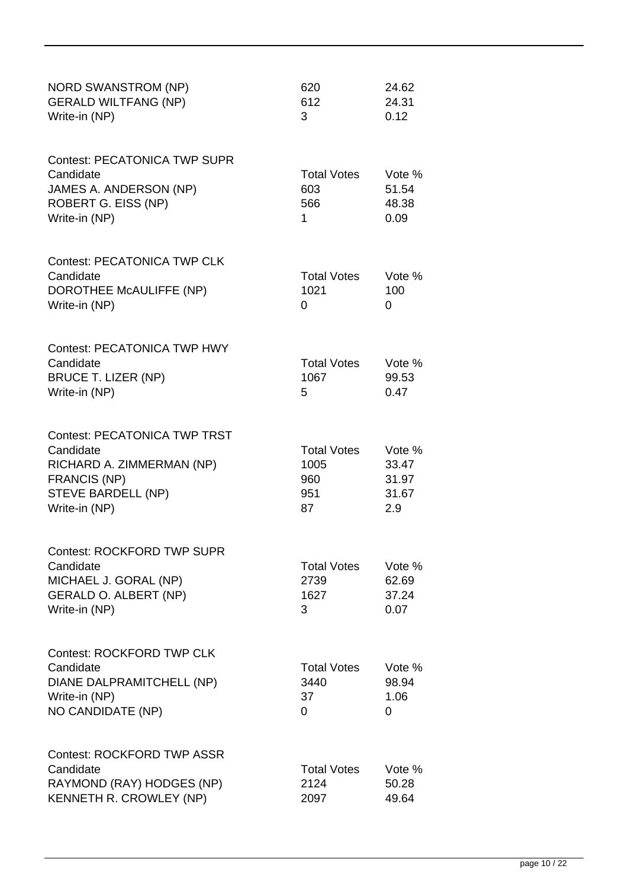| <b>NORD SWANSTROM (NP)</b><br><b>GERALD WILTFANG (NP)</b><br>Write-in (NP)                                                                         | 620<br>612<br>3                                | 24.62<br>24.31<br>0.12                   |
|----------------------------------------------------------------------------------------------------------------------------------------------------|------------------------------------------------|------------------------------------------|
| <b>Contest: PECATONICA TWP SUPR</b><br>Candidate<br>JAMES A. ANDERSON (NP)<br>ROBERT G. EISS (NP)<br>Write-in (NP)                                 | <b>Total Votes</b><br>603<br>566<br>1          | Vote %<br>51.54<br>48.38<br>0.09         |
| <b>Contest: PECATONICA TWP CLK</b><br>Candidate<br>DOROTHEE McAULIFFE (NP)<br>Write-in (NP)                                                        | <b>Total Votes</b><br>1021<br>0                | Vote %<br>100<br>0                       |
| <b>Contest: PECATONICA TWP HWY</b><br>Candidate<br><b>BRUCE T. LIZER (NP)</b><br>Write-in (NP)                                                     | <b>Total Votes</b><br>1067<br>5                | Vote %<br>99.53<br>0.47                  |
| <b>Contest: PECATONICA TWP TRST</b><br>Candidate<br>RICHARD A. ZIMMERMAN (NP)<br><b>FRANCIS (NP)</b><br><b>STEVE BARDELL (NP)</b><br>Write-in (NP) | <b>Total Votes</b><br>1005<br>960<br>951<br>87 | Vote %<br>33.47<br>31.97<br>31.67<br>2.9 |
| Contest: ROCKFORD TWP SUPR<br>Candidate<br>MICHAEL J. GORAL (NP)<br><b>GERALD O. ALBERT (NP)</b><br>Write-in (NP)                                  | <b>Total Votes</b><br>2739<br>1627<br>3        | Vote %<br>62.69<br>37.24<br>0.07         |
| <b>Contest: ROCKFORD TWP CLK</b><br>Candidate<br>DIANE DALPRAMITCHELL (NP)<br>Write-in (NP)<br>NO CANDIDATE (NP)                                   | <b>Total Votes</b><br>3440<br>37<br>0          | Vote %<br>98.94<br>1.06<br>$\Omega$      |
| <b>Contest: ROCKFORD TWP ASSR</b><br>Candidate<br>RAYMOND (RAY) HODGES (NP)<br>KENNETH R. CROWLEY (NP)                                             | <b>Total Votes</b><br>2124<br>2097             | Vote %<br>50.28<br>49.64                 |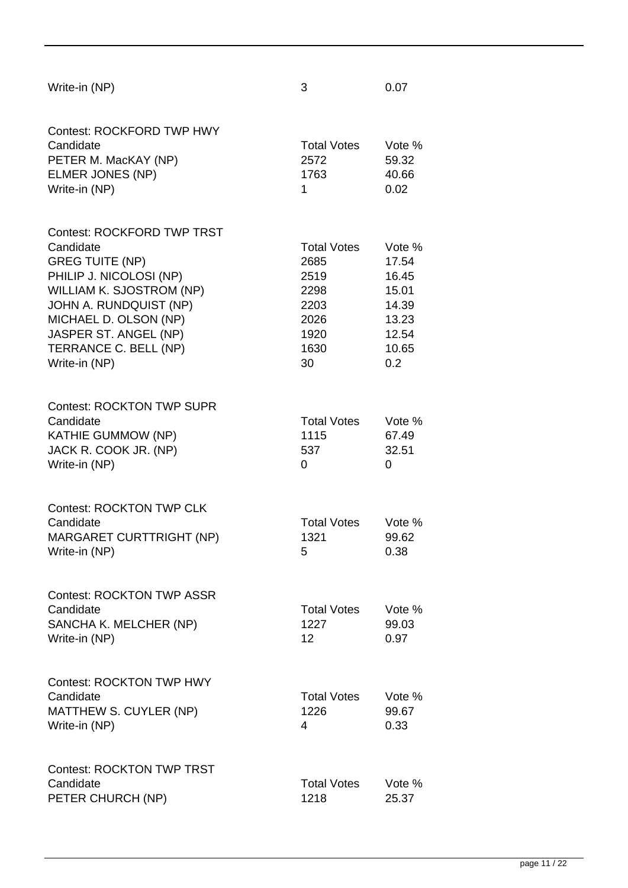| Write-in (NP)                                                                                                                                                                                                                                         | 3                                                                                | 0.07                                                                         |
|-------------------------------------------------------------------------------------------------------------------------------------------------------------------------------------------------------------------------------------------------------|----------------------------------------------------------------------------------|------------------------------------------------------------------------------|
| <b>Contest: ROCKFORD TWP HWY</b><br>Candidate<br>PETER M. MacKAY (NP)<br>ELMER JONES (NP)<br>Write-in (NP)                                                                                                                                            | <b>Total Votes</b><br>2572<br>1763<br>1                                          | Vote %<br>59.32<br>40.66<br>0.02                                             |
| <b>Contest: ROCKFORD TWP TRST</b><br>Candidate<br><b>GREG TUITE (NP)</b><br>PHILIP J. NICOLOSI (NP)<br>WILLIAM K. SJOSTROM (NP)<br>JOHN A. RUNDQUIST (NP)<br>MICHAEL D. OLSON (NP)<br>JASPER ST. ANGEL (NP)<br>TERRANCE C. BELL (NP)<br>Write-in (NP) | <b>Total Votes</b><br>2685<br>2519<br>2298<br>2203<br>2026<br>1920<br>1630<br>30 | Vote %<br>17.54<br>16.45<br>15.01<br>14.39<br>13.23<br>12.54<br>10.65<br>0.2 |
| <b>Contest: ROCKTON TWP SUPR</b><br>Candidate<br><b>KATHIE GUMMOW (NP)</b><br>JACK R. COOK JR. (NP)<br>Write-in (NP)                                                                                                                                  | <b>Total Votes</b><br>1115<br>537<br>0                                           | Vote %<br>67.49<br>32.51<br>0                                                |
| <b>Contest: ROCKTON TWP CLK</b><br>Candidate<br><b>MARGARET CURTTRIGHT (NP)</b><br>Write-in (NP)                                                                                                                                                      | <b>Total Votes</b><br>1321<br>5                                                  | Vote %<br>99.62<br>0.38                                                      |
| <b>Contest: ROCKTON TWP ASSR</b><br>Candidate<br>SANCHA K. MELCHER (NP)<br>Write-in (NP)                                                                                                                                                              | <b>Total Votes</b><br>1227<br>12                                                 | Vote %<br>99.03<br>0.97                                                      |
| <b>Contest: ROCKTON TWP HWY</b><br>Candidate<br>MATTHEW S. CUYLER (NP)<br>Write-in (NP)                                                                                                                                                               | <b>Total Votes</b><br>1226<br>4                                                  | Vote %<br>99.67<br>0.33                                                      |
| <b>Contest: ROCKTON TWP TRST</b><br>Candidate<br>PETER CHURCH (NP)                                                                                                                                                                                    | <b>Total Votes</b><br>1218                                                       | Vote %<br>25.37                                                              |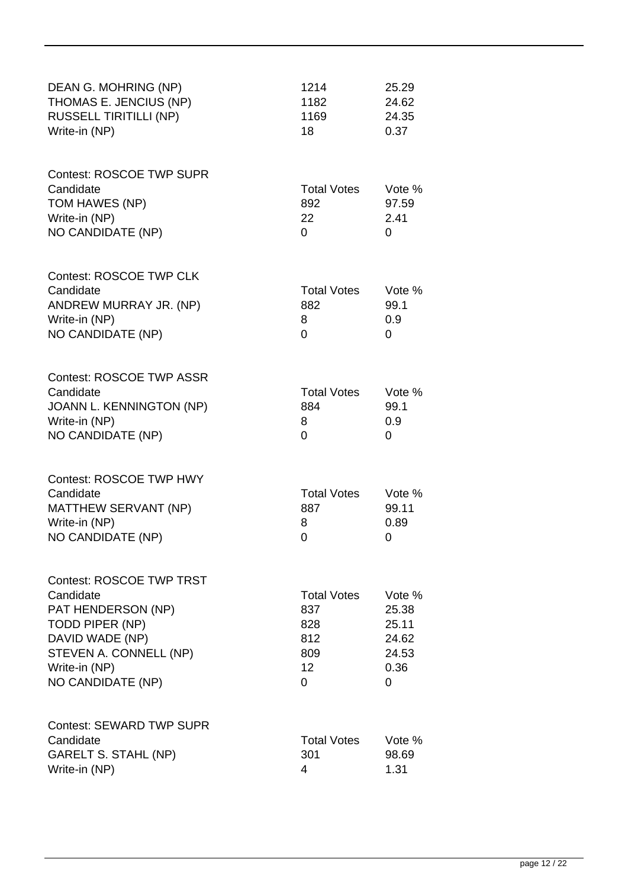| DEAN G. MOHRING (NP)<br>THOMAS E. JENCIUS (NP)<br><b>RUSSELL TIRITILLI (NP)</b><br>Write-in (NP)                                                                                | 1214<br>1182<br>1169<br>18                                       | 25.29<br>24.62<br>24.35<br>0.37                         |
|---------------------------------------------------------------------------------------------------------------------------------------------------------------------------------|------------------------------------------------------------------|---------------------------------------------------------|
| <b>Contest: ROSCOE TWP SUPR</b><br>Candidate<br>TOM HAWES (NP)<br>Write-in (NP)<br>NO CANDIDATE (NP)                                                                            | <b>Total Votes</b><br>892<br>22<br>0                             | Vote %<br>97.59<br>2.41<br>0                            |
| <b>Contest: ROSCOE TWP CLK</b><br>Candidate<br>ANDREW MURRAY JR. (NP)<br>Write-in (NP)<br>NO CANDIDATE (NP)                                                                     | <b>Total Votes</b><br>882<br>8<br>0                              | Vote %<br>99.1<br>0.9<br>0                              |
| <b>Contest: ROSCOE TWP ASSR</b><br>Candidate<br>JOANN L. KENNINGTON (NP)<br>Write-in (NP)<br>NO CANDIDATE (NP)                                                                  | <b>Total Votes</b><br>884<br>8<br>0                              | Vote %<br>99.1<br>0.9<br>0                              |
| <b>Contest: ROSCOE TWP HWY</b><br>Candidate<br><b>MATTHEW SERVANT (NP)</b><br>Write-in (NP)<br>NO CANDIDATE (NP)                                                                | <b>Total Votes</b><br>887<br>8<br>0                              | Vote %<br>99.11<br>0.89<br>0                            |
| <b>Contest: ROSCOE TWP TRST</b><br>Candidate<br>PAT HENDERSON (NP)<br><b>TODD PIPER (NP)</b><br>DAVID WADE (NP)<br>STEVEN A. CONNELL (NP)<br>Write-in (NP)<br>NO CANDIDATE (NP) | <b>Total Votes</b><br>837<br>828<br>812<br>809<br>12<br>$\Omega$ | Vote %<br>25.38<br>25.11<br>24.62<br>24.53<br>0.36<br>0 |
| <b>Contest: SEWARD TWP SUPR</b><br>Candidate<br><b>GARELT S. STAHL (NP)</b><br>Write-in (NP)                                                                                    | <b>Total Votes</b><br>301<br>4                                   | Vote %<br>98.69<br>1.31                                 |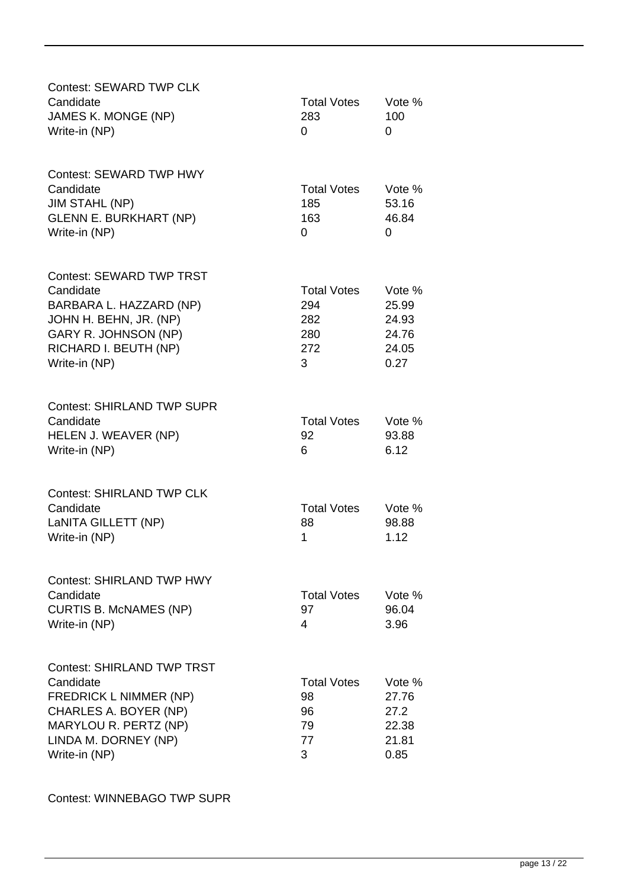| <b>Contest: SEWARD TWP CLK</b><br>Candidate<br>JAMES K. MONGE (NP)<br>Write-in (NP)                                                                                        | <b>Total Votes</b><br>283<br>$\Omega$               | Vote %<br>100<br>0                                 |
|----------------------------------------------------------------------------------------------------------------------------------------------------------------------------|-----------------------------------------------------|----------------------------------------------------|
| Contest: SEWARD TWP HWY<br>Candidate<br><b>JIM STAHL (NP)</b><br><b>GLENN E. BURKHART (NP)</b><br>Write-in (NP)                                                            | <b>Total Votes</b><br>185<br>163<br>0               | Vote %<br>53.16<br>46.84<br>0                      |
| <b>Contest: SEWARD TWP TRST</b><br>Candidate<br>BARBARA L. HAZZARD (NP)<br>JOHN H. BEHN, JR. (NP)<br>GARY R. JOHNSON (NP)<br>RICHARD I. BEUTH (NP)<br>Write-in (NP)        | <b>Total Votes</b><br>294<br>282<br>280<br>272<br>3 | Vote %<br>25.99<br>24.93<br>24.76<br>24.05<br>0.27 |
| <b>Contest: SHIRLAND TWP SUPR</b><br>Candidate<br>HELEN J. WEAVER (NP)<br>Write-in (NP)                                                                                    | <b>Total Votes</b><br>92<br>6                       | Vote %<br>93.88<br>6.12                            |
| <b>Contest: SHIRLAND TWP CLK</b><br>Candidate<br>LaNITA GILLETT (NP)<br>Write-in (NP)                                                                                      | <b>Total Votes</b><br>88<br>1                       | Vote %<br>98.88<br>1.12                            |
| <b>Contest: SHIRLAND TWP HWY</b><br>Candidate<br><b>CURTIS B. McNAMES (NP)</b><br>Write-in (NP)                                                                            | <b>Total Votes</b><br>97<br>4                       | Vote %<br>96.04<br>3.96                            |
| <b>Contest: SHIRLAND TWP TRST</b><br>Candidate<br><b>FREDRICK L NIMMER (NP)</b><br>CHARLES A. BOYER (NP)<br>MARYLOU R. PERTZ (NP)<br>LINDA M. DORNEY (NP)<br>Write-in (NP) | <b>Total Votes</b><br>98<br>96<br>79<br>77<br>3     | Vote %<br>27.76<br>27.2<br>22.38<br>21.81<br>0.85  |

Contest: WINNEBAGO TWP SUPR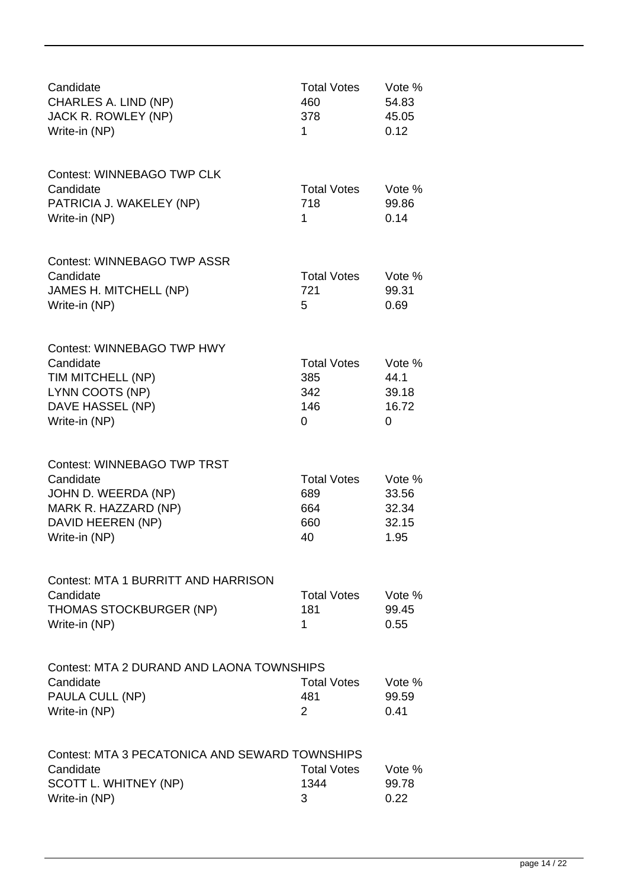| Candidate<br>CHARLES A. LIND (NP)<br>JACK R. ROWLEY (NP)<br>Write-in (NP)                                                            | <b>Total Votes</b><br>460<br>378<br>1         | Vote %<br>54.83<br>45.05<br>0.12          |
|--------------------------------------------------------------------------------------------------------------------------------------|-----------------------------------------------|-------------------------------------------|
| <b>Contest: WINNEBAGO TWP CLK</b><br>Candidate<br>PATRICIA J. WAKELEY (NP)<br>Write-in (NP)                                          | <b>Total Votes</b><br>718<br>1                | Vote %<br>99.86<br>0.14                   |
| <b>Contest: WINNEBAGO TWP ASSR</b><br>Candidate<br>JAMES H. MITCHELL (NP)<br>Write-in (NP)                                           | <b>Total Votes</b><br>721<br>5                | Vote %<br>99.31<br>0.69                   |
| <b>Contest: WINNEBAGO TWP HWY</b><br>Candidate<br>TIM MITCHELL (NP)<br>LYNN COOTS (NP)<br>DAVE HASSEL (NP)<br>Write-in (NP)          | <b>Total Votes</b><br>385<br>342<br>146<br>0  | Vote %<br>44.1<br>39.18<br>16.72<br>0     |
| <b>Contest: WINNEBAGO TWP TRST</b><br>Candidate<br>JOHN D. WEERDA (NP)<br>MARK R. HAZZARD (NP)<br>DAVID HEEREN (NP)<br>Write-in (NP) | <b>Total Votes</b><br>689<br>664<br>660<br>40 | Vote %<br>33.56<br>32.34<br>32.15<br>1.95 |
| Contest: MTA 1 BURRITT AND HARRISON<br>Candidate<br><b>THOMAS STOCKBURGER (NP)</b><br>Write-in (NP)                                  | <b>Total Votes</b><br>181<br>1                | Vote %<br>99.45<br>0.55                   |
| Contest: MTA 2 DURAND AND LAONA TOWNSHIPS<br>Candidate<br>PAULA CULL (NP)<br>Write-in (NP)                                           | <b>Total Votes</b><br>481<br>2                | Vote %<br>99.59<br>0.41                   |
| Contest: MTA 3 PECATONICA AND SEWARD TOWNSHIPS<br>Candidate<br>SCOTT L. WHITNEY (NP)<br>Write-in (NP)                                | <b>Total Votes</b><br>1344<br>3               | Vote %<br>99.78<br>0.22                   |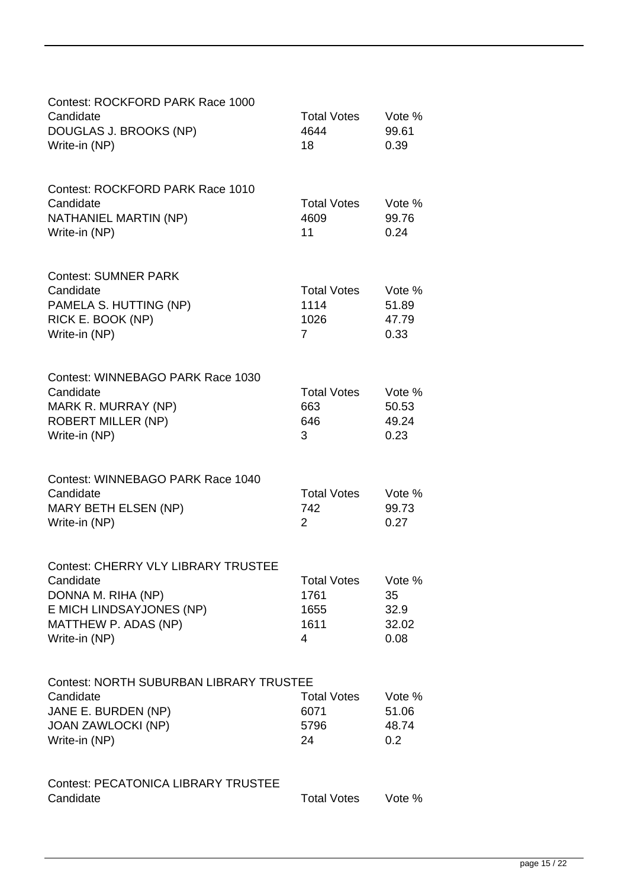| Contest: ROCKFORD PARK Race 1000<br>Candidate<br>DOUGLAS J. BROOKS (NP)<br>Write-in (NP)                                                           | <b>Total Votes</b><br>4644<br>18                     | Vote %<br>99.61<br>0.39               |
|----------------------------------------------------------------------------------------------------------------------------------------------------|------------------------------------------------------|---------------------------------------|
| Contest: ROCKFORD PARK Race 1010<br>Candidate<br>NATHANIEL MARTIN (NP)<br>Write-in (NP)                                                            | <b>Total Votes</b><br>4609<br>11                     | Vote %<br>99.76<br>0.24               |
| <b>Contest: SUMNER PARK</b><br>Candidate<br>PAMELA S. HUTTING (NP)<br>RICK E. BOOK (NP)<br>Write-in (NP)                                           | <b>Total Votes</b><br>1114<br>1026<br>$\overline{7}$ | Vote %<br>51.89<br>47.79<br>0.33      |
| Contest: WINNEBAGO PARK Race 1030<br>Candidate<br>MARK R. MURRAY (NP)<br><b>ROBERT MILLER (NP)</b><br>Write-in (NP)                                | <b>Total Votes</b><br>663<br>646<br>3                | Vote %<br>50.53<br>49.24<br>0.23      |
| Contest: WINNEBAGO PARK Race 1040<br>Candidate<br><b>MARY BETH ELSEN (NP)</b><br>Write-in (NP)                                                     | <b>Total Votes</b><br>742<br>2                       | Vote %<br>99.73<br>0.27               |
| <b>Contest: CHERRY VLY LIBRARY TRUSTEE</b><br>Candidate<br>DONNA M. RIHA (NP)<br>E MICH LINDSAYJONES (NP)<br>MATTHEW P. ADAS (NP)<br>Write-in (NP) | <b>Total Votes</b><br>1761<br>1655<br>1611<br>4      | Vote %<br>35<br>32.9<br>32.02<br>0.08 |
| <b>Contest: NORTH SUBURBAN LIBRARY TRUSTEE</b><br>Candidate<br>JANE E. BURDEN (NP)<br><b>JOAN ZAWLOCKI (NP)</b><br>Write-in (NP)                   | <b>Total Votes</b><br>6071<br>5796<br>24             | Vote %<br>51.06<br>48.74<br>0.2       |
| <b>Contest: PECATONICA LIBRARY TRUSTEE</b><br>Candidate                                                                                            | <b>Total Votes</b>                                   | Vote %                                |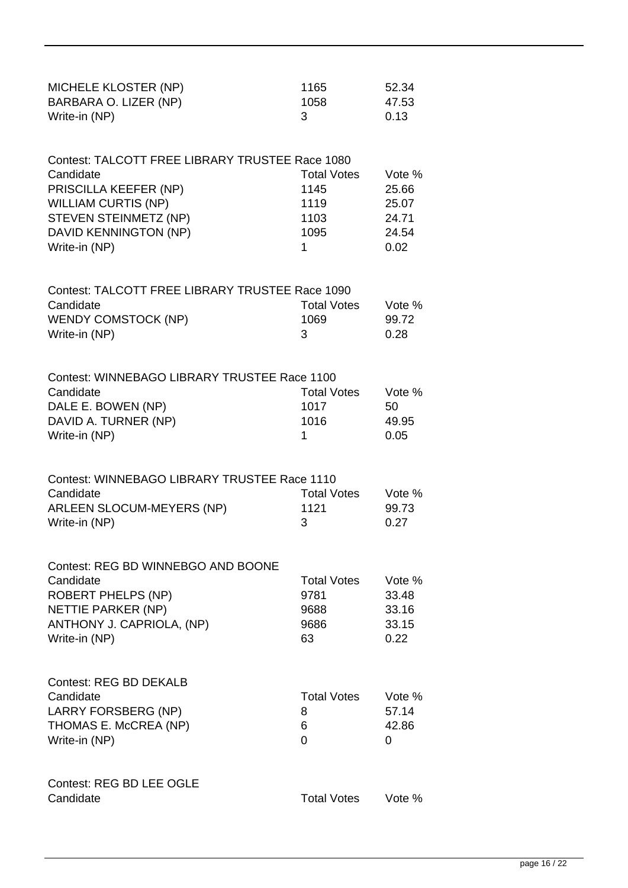| <b>MICHELE KLOSTER (NP)</b><br>BARBARA O. LIZER (NP)<br>Write-in (NP)                                                                                                                  | 1165<br>1058<br>3                                       | 52.34<br>47.53<br>0.13                             |
|----------------------------------------------------------------------------------------------------------------------------------------------------------------------------------------|---------------------------------------------------------|----------------------------------------------------|
| Contest: TALCOTT FREE LIBRARY TRUSTEE Race 1080<br>Candidate<br>PRISCILLA KEEFER (NP)<br><b>WILLIAM CURTIS (NP)</b><br>STEVEN STEINMETZ (NP)<br>DAVID KENNINGTON (NP)<br>Write-in (NP) | <b>Total Votes</b><br>1145<br>1119<br>1103<br>1095<br>1 | Vote %<br>25.66<br>25.07<br>24.71<br>24.54<br>0.02 |
| Contest: TALCOTT FREE LIBRARY TRUSTEE Race 1090<br>Candidate<br><b>WENDY COMSTOCK (NP)</b><br>Write-in (NP)                                                                            | <b>Total Votes</b><br>1069<br>3                         | Vote %<br>99.72<br>0.28                            |
| Contest: WINNEBAGO LIBRARY TRUSTEE Race 1100<br>Candidate<br>DALE E. BOWEN (NP)<br>DAVID A. TURNER (NP)<br>Write-in (NP)                                                               | <b>Total Votes</b><br>1017<br>1016<br>1                 | Vote %<br>50<br>49.95<br>0.05                      |
| Contest: WINNEBAGO LIBRARY TRUSTEE Race 1110<br>Candidate<br><b>ARLEEN SLOCUM-MEYERS (NP)</b><br>Write-in (NP)                                                                         | <b>Total Votes</b><br>1121<br>3                         | Vote %<br>99.73<br>0.27                            |
| Contest: REG BD WINNEBGO AND BOONE<br>Candidate<br><b>ROBERT PHELPS (NP)</b><br>NETTIE PARKER (NP)<br>ANTHONY J. CAPRIOLA, (NP)<br>Write-in (NP)                                       | <b>Total Votes</b><br>9781<br>9688<br>9686<br>63        | Vote %<br>33.48<br>33.16<br>33.15<br>0.22          |
| <b>Contest: REG BD DEKALB</b><br>Candidate<br>LARRY FORSBERG (NP)<br>THOMAS E. McCREA (NP)<br>Write-in (NP)                                                                            | <b>Total Votes</b><br>8<br>6<br>0                       | Vote %<br>57.14<br>42.86<br>0                      |
| <b>Contest: REG BD LEE OGLE</b><br>Candidate                                                                                                                                           | <b>Total Votes</b>                                      | Vote %                                             |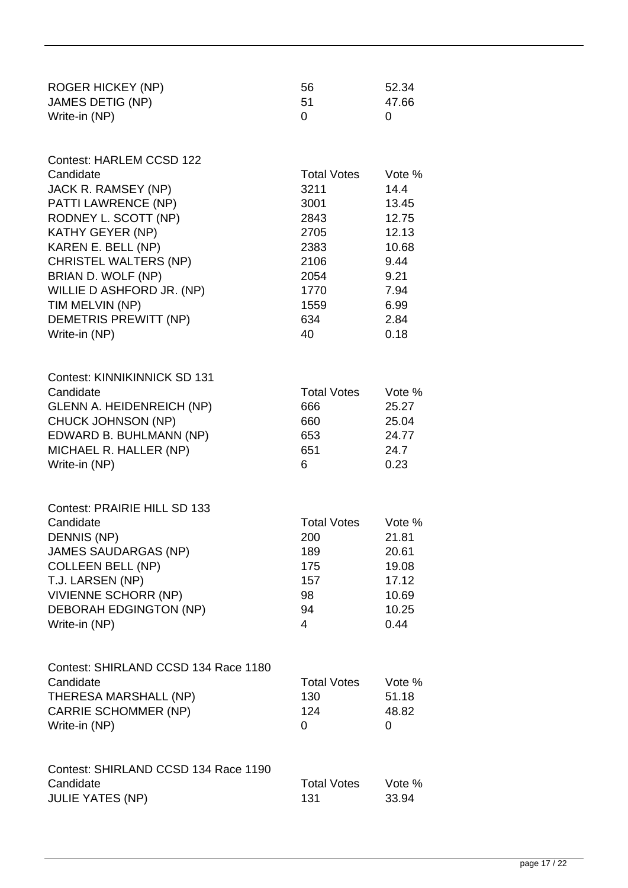| <b>ROGER HICKEY (NP)</b><br><b>JAMES DETIG (NP)</b><br>Write-in (NP)                                                                                                                                                                                                                                         | 56<br>51<br>0                                                                                           | 52.34<br>47.66<br>0                                                                                |
|--------------------------------------------------------------------------------------------------------------------------------------------------------------------------------------------------------------------------------------------------------------------------------------------------------------|---------------------------------------------------------------------------------------------------------|----------------------------------------------------------------------------------------------------|
| Contest: HARLEM CCSD 122<br>Candidate<br>JACK R. RAMSEY (NP)<br>PATTI LAWRENCE (NP)<br>RODNEY L. SCOTT (NP)<br><b>KATHY GEYER (NP)</b><br>KAREN E. BELL (NP)<br><b>CHRISTEL WALTERS (NP)</b><br>BRIAN D. WOLF (NP)<br>WILLIE D ASHFORD JR. (NP)<br>TIM MELVIN (NP)<br>DEMETRIS PREWITT (NP)<br>Write-in (NP) | <b>Total Votes</b><br>3211<br>3001<br>2843<br>2705<br>2383<br>2106<br>2054<br>1770<br>1559<br>634<br>40 | Vote %<br>14.4<br>13.45<br>12.75<br>12.13<br>10.68<br>9.44<br>9.21<br>7.94<br>6.99<br>2.84<br>0.18 |
| Contest: KINNIKINNICK SD 131<br>Candidate<br><b>GLENN A. HEIDENREICH (NP)</b><br><b>CHUCK JOHNSON (NP)</b><br>EDWARD B. BUHLMANN (NP)<br>MICHAEL R. HALLER (NP)<br>Write-in (NP)                                                                                                                             | <b>Total Votes</b><br>666<br>660<br>653<br>651<br>6                                                     | Vote %<br>25.27<br>25.04<br>24.77<br>24.7<br>0.23                                                  |
| Contest: PRAIRIE HILL SD 133<br>Candidate<br>DENNIS (NP)<br><b>JAMES SAUDARGAS (NP)</b><br><b>COLLEEN BELL (NP)</b><br>T.J. LARSEN (NP)<br><b>VIVIENNE SCHORR (NP)</b><br><b>DEBORAH EDGINGTON (NP)</b><br>Write-in (NP)                                                                                     | <b>Total Votes</b><br>200<br>189<br>175<br>157<br>98<br>94<br>4                                         | Vote $%$<br>21.81<br>20.61<br>19.08<br>17.12<br>10.69<br>10.25<br>0.44                             |
| Contest: SHIRLAND CCSD 134 Race 1180<br>Candidate<br>THERESA MARSHALL (NP)<br><b>CARRIE SCHOMMER (NP)</b><br>Write-in (NP)                                                                                                                                                                                   | <b>Total Votes</b><br>130<br>124<br>0                                                                   | Vote %<br>51.18<br>48.82<br>0                                                                      |
| Contest: SHIRLAND CCSD 134 Race 1190<br>Candidate<br><b>JULIE YATES (NP)</b>                                                                                                                                                                                                                                 | <b>Total Votes</b><br>131                                                                               | Vote %<br>33.94                                                                                    |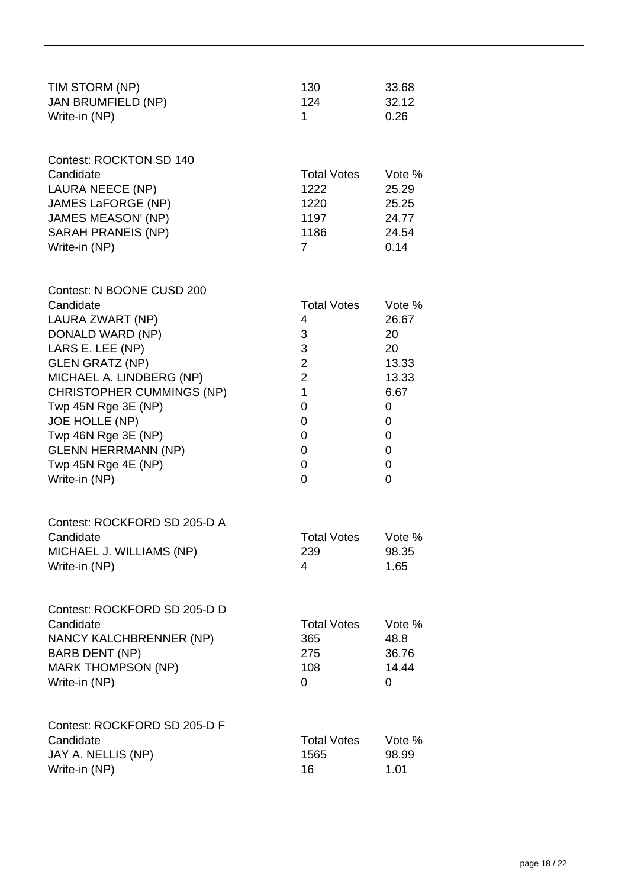| TIM STORM (NP)<br><b>JAN BRUMFIELD (NP)</b><br>Write-in (NP)                                                                                                                                                                                                                                                                       | 130<br>124<br>1                                                                                                                 | 33.68<br>32.12<br>0.26                                                              |
|------------------------------------------------------------------------------------------------------------------------------------------------------------------------------------------------------------------------------------------------------------------------------------------------------------------------------------|---------------------------------------------------------------------------------------------------------------------------------|-------------------------------------------------------------------------------------|
| <b>Contest: ROCKTON SD 140</b><br>Candidate<br>LAURA NEECE (NP)<br>JAMES LaFORGE (NP)<br><b>JAMES MEASON' (NP)</b><br>SARAH PRANEIS (NP)<br>Write-in (NP)                                                                                                                                                                          | <b>Total Votes</b><br>1222<br>1220<br>1197<br>1186<br>$\overline{7}$                                                            | Vote %<br>25.29<br>25.25<br>24.77<br>24.54<br>0.14                                  |
| Contest: N BOONE CUSD 200<br>Candidate<br>LAURA ZWART (NP)<br>DONALD WARD (NP)<br>LARS E. LEE (NP)<br><b>GLEN GRATZ (NP)</b><br>MICHAEL A. LINDBERG (NP)<br><b>CHRISTOPHER CUMMINGS (NP)</b><br>Twp 45N Rge 3E (NP)<br>JOE HOLLE (NP)<br>Twp 46N Rge 3E (NP)<br><b>GLENN HERRMANN (NP)</b><br>Twp 45N Rge 4E (NP)<br>Write-in (NP) | <b>Total Votes</b><br>4<br>3<br>3<br>$\overline{2}$<br>$\overline{2}$<br>$\mathbf 1$<br>$\overline{0}$<br>0<br>0<br>0<br>0<br>0 | Vote %<br>26.67<br>20<br>20<br>13.33<br>13.33<br>6.67<br>0<br>0<br>0<br>0<br>0<br>0 |
| Contest: ROCKFORD SD 205-D A<br>Candidate<br>MICHAEL J. WILLIAMS (NP)<br>Write-in (NP)                                                                                                                                                                                                                                             | <b>Total Votes</b><br>239<br>4                                                                                                  | Vote %<br>98.35<br>1.65                                                             |
| Contest: ROCKFORD SD 205-D D<br>Candidate<br>NANCY KALCHBRENNER (NP)<br><b>BARB DENT (NP)</b><br><b>MARK THOMPSON (NP)</b><br>Write-in (NP)                                                                                                                                                                                        | <b>Total Votes</b><br>365<br>275<br>108<br>0                                                                                    | Vote %<br>48.8<br>36.76<br>14.44<br>0                                               |
| Contest: ROCKFORD SD 205-D F<br>Candidate<br>JAY A. NELLIS (NP)<br>Write-in (NP)                                                                                                                                                                                                                                                   | <b>Total Votes</b><br>1565<br>16                                                                                                | Vote %<br>98.99<br>1.01                                                             |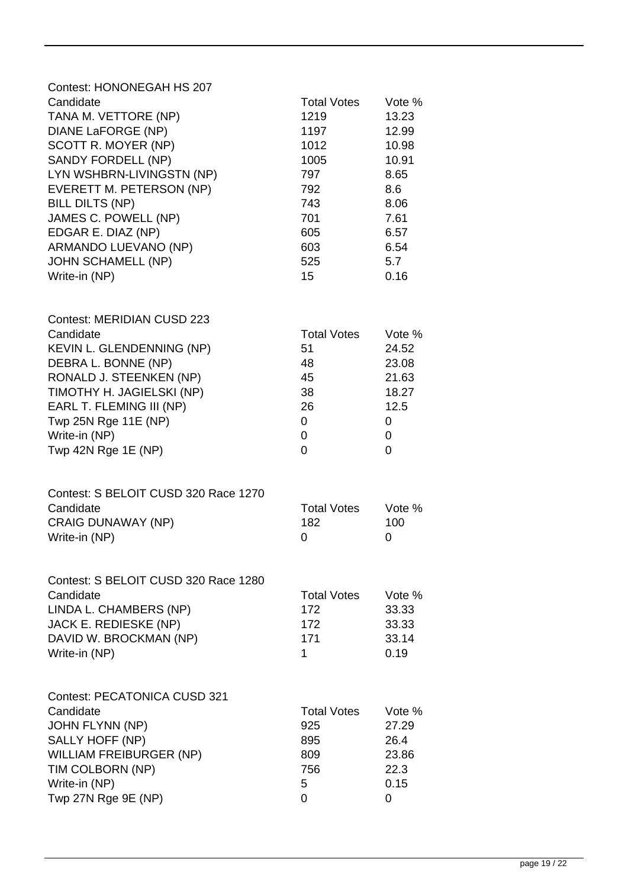| Contest: HONONEGAH HS 207            |                    |        |
|--------------------------------------|--------------------|--------|
| Candidate                            | <b>Total Votes</b> | Vote % |
| TANA M. VETTORE (NP)                 | 1219               | 13.23  |
| DIANE LaFORGE (NP)                   | 1197               | 12.99  |
| SCOTT R. MOYER (NP)                  | 1012               | 10.98  |
| SANDY FORDELL (NP)                   | 1005               | 10.91  |
| LYN WSHBRN-LIVINGSTN (NP)            | 797                | 8.65   |
| EVERETT M. PETERSON (NP)             | 792                | 8.6    |
| <b>BILL DILTS (NP)</b>               | 743                | 8.06   |
| JAMES C. POWELL (NP)                 | 701                | 7.61   |
| EDGAR E. DIAZ (NP)                   | 605                | 6.57   |
| ARMANDO LUEVANO (NP)                 | 603                | 6.54   |
| <b>JOHN SCHAMELL (NP)</b>            | 525                | 5.7    |
| Write-in (NP)                        | 15                 | 0.16   |
|                                      |                    |        |
| Contest: MERIDIAN CUSD 223           |                    |        |
| Candidate                            | <b>Total Votes</b> | Vote % |
| KEVIN L. GLENDENNING (NP)            | 51                 | 24.52  |
| DEBRA L. BONNE (NP)                  | 48                 | 23.08  |
| RONALD J. STEENKEN (NP)              | 45                 | 21.63  |
| TIMOTHY H. JAGIELSKI (NP)            | 38                 | 18.27  |
| EARL T. FLEMING III (NP)             | 26                 | 12.5   |
| Twp 25N Rge 11E (NP)                 | 0                  | 0      |
| Write-in (NP)                        | 0                  | 0      |
| Twp 42N Rge 1E (NP)                  | 0                  | 0      |
| Contest: S BELOIT CUSD 320 Race 1270 |                    |        |
| Candidate                            | <b>Total Votes</b> | Vote % |
| <b>CRAIG DUNAWAY (NP)</b>            | 182                | 100    |
| Write-in (NP)                        | 0                  | 0      |
| Contest: S BELOIT CUSD 320 Race 1280 |                    |        |
| Candidate                            | <b>Total Votes</b> | Vote % |
| LINDA L. CHAMBERS (NP)               | 172                | 33.33  |
| JACK E. REDIESKE (NP)                | 172                | 33.33  |
| DAVID W. BROCKMAN (NP)               | 171                | 33.14  |
| Write-in (NP)                        | 1                  | 0.19   |
| <b>Contest: PECATONICA CUSD 321</b>  |                    |        |
| Candidate                            | <b>Total Votes</b> | Vote % |
| <b>JOHN FLYNN (NP)</b>               | 925                | 27.29  |
| SALLY HOFF (NP)                      | 895                | 26.4   |
| WILLIAM FREIBURGER (NP)              | 809                | 23.86  |
| TIM COLBORN (NP)                     | 756                | 22.3   |
| Write-in (NP)                        | 5                  | 0.15   |
| Twp 27N Rge 9E (NP)                  | 0                  | 0      |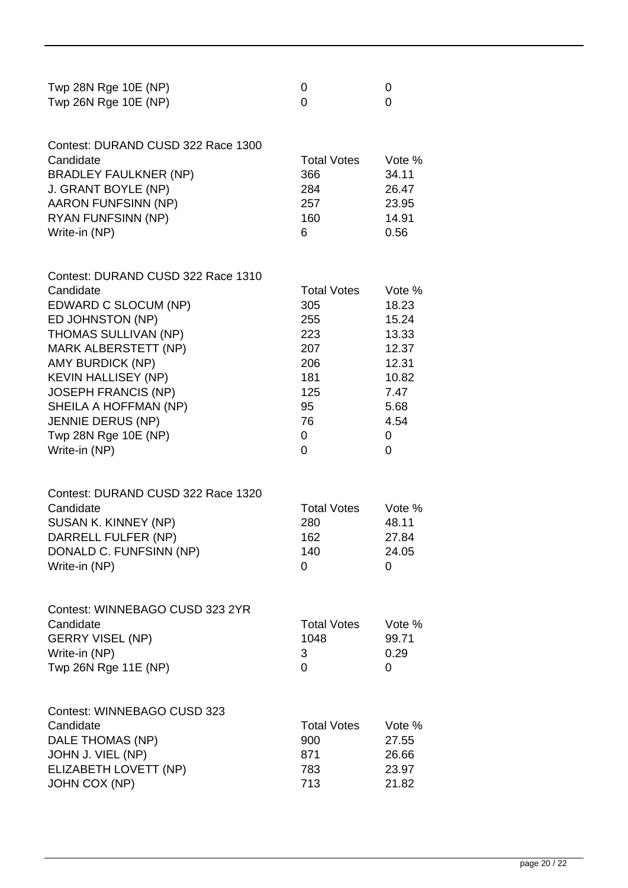| Twp 28N Rge 10E (NP) |  |
|----------------------|--|
| Twp 26N Rge 10E (NP) |  |

| Contest: DURAND CUSD 322 Race 1300 |                    |        |
|------------------------------------|--------------------|--------|
| Candidate                          | <b>Total Votes</b> | Vote % |
| <b>BRADLEY FAULKNER (NP)</b>       | 366                | 34.11  |
| J. GRANT BOYLE (NP)                | 284                | 26.47  |
| AARON FUNFSINN (NP)                | 257                | 23.95  |
| <b>RYAN FUNFSINN (NP)</b>          | 160                | 14.91  |
| Write-in (NP)                      | 6                  | 0.56   |

| Contest: DURAND CUSD 322 Race 1310 |                    |        |
|------------------------------------|--------------------|--------|
| Candidate                          | <b>Total Votes</b> | Vote % |
| EDWARD C SLOCUM (NP)               | 305                | 18.23  |
| ED JOHNSTON (NP)                   | 255                | 15.24  |
| <b>THOMAS SULLIVAN (NP)</b>        | 223                | 13.33  |
| <b>MARK ALBERSTETT (NP)</b>        | 207                | 12.37  |
| <b>AMY BURDICK (NP)</b>            | 206                | 12.31  |
| <b>KEVIN HALLISEY (NP)</b>         | 181                | 10.82  |
| <b>JOSEPH FRANCIS (NP)</b>         | 125                | 7.47   |
| SHEILA A HOFFMAN (NP)              | 95                 | 5.68   |
| <b>JENNIE DERUS (NP)</b>           | 76                 | 4.54   |
| Twp 28N Rge 10E (NP)               | 0                  | O      |
| Write-in (NP)                      | 0                  |        |
|                                    |                    |        |

| Contest: DURAND CUSD 322 Race 1320 |                    |        |
|------------------------------------|--------------------|--------|
| Candidate                          | <b>Total Votes</b> | Vote % |
| SUSAN K. KINNEY (NP)               | 280                | 48.11  |
| DARRELL FULFER (NP)                | 162                | 27.84  |
| DONALD C. FUNFSINN (NP)            | 140                | 24.05  |
| Write-in (NP)                      |                    |        |

| Contest: WINNEBAGO CUSD 323 2YR |                    |              |
|---------------------------------|--------------------|--------------|
| Candidate                       | <b>Total Votes</b> | Vote %       |
| <b>GERRY VISEL (NP)</b>         | 1048               | 99.71        |
| Write-in (NP)                   | 3                  | 0.29         |
| Twp 26N Rge 11E (NP)            | $\mathbf{0}$       | $\mathbf{O}$ |

Contest: WINNEBAGO CUSD 323 Candidate Candidate Candidate Candidate Candidate Candidate Candidate Vote % DALE THOMAS (NP) 900 27.55 JOHN J. VIEL (NP) 871 26.66 ELIZABETH LOVETT (NP) 783 23.97 JOHN COX (NP) 21.82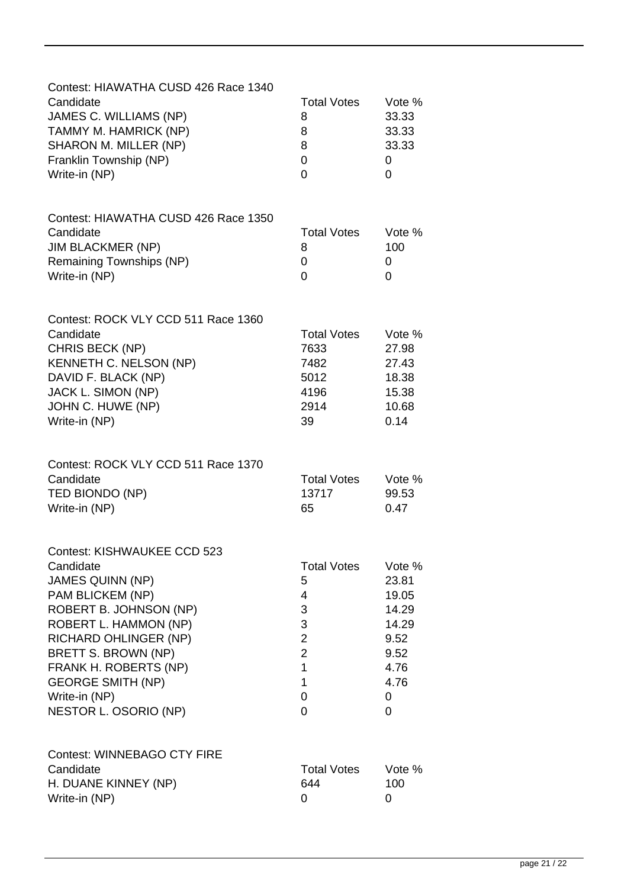| Contest: HIAWATHA CUSD 426 Race 1340<br>Candidate<br>JAMES C. WILLIAMS (NP)<br>TAMMY M. HAMRICK (NP)<br>SHARON M. MILLER (NP)<br>Franklin Township (NP)<br>Write-in (NP)                                                                                                                  | <b>Total Votes</b><br>8<br>8<br>8<br>0<br>$\Omega$                                                      | Vote %<br>33.33<br>33.33<br>33.33<br>0<br>0                                          |
|-------------------------------------------------------------------------------------------------------------------------------------------------------------------------------------------------------------------------------------------------------------------------------------------|---------------------------------------------------------------------------------------------------------|--------------------------------------------------------------------------------------|
| Contest: HIAWATHA CUSD 426 Race 1350<br>Candidate<br><b>JIM BLACKMER (NP)</b><br>Remaining Townships (NP)<br>Write-in (NP)                                                                                                                                                                | <b>Total Votes</b><br>8<br>0<br>0                                                                       | Vote %<br>100<br>0<br>0                                                              |
| Contest: ROCK VLY CCD 511 Race 1360<br>Candidate<br>CHRIS BECK (NP)<br>KENNETH C. NELSON (NP)<br>DAVID F. BLACK (NP)<br>JACK L. SIMON (NP)<br>JOHN C. HUWE (NP)<br>Write-in (NP)                                                                                                          | <b>Total Votes</b><br>7633<br>7482<br>5012<br>4196<br>2914<br>39                                        | Vote %<br>27.98<br>27.43<br>18.38<br>15.38<br>10.68<br>0.14                          |
| Contest: ROCK VLY CCD 511 Race 1370<br>Candidate<br>TED BIONDO (NP)<br>Write-in (NP)                                                                                                                                                                                                      | <b>Total Votes</b><br>13717<br>65                                                                       | Vote %<br>99.53<br>0.47                                                              |
| Contest: KISHWAUKEE CCD 523<br>Candidate<br><b>JAMES QUINN (NP)</b><br>PAM BLICKEM (NP)<br>ROBERT B. JOHNSON (NP)<br>ROBERT L. HAMMON (NP)<br>RICHARD OHLINGER (NP)<br>BRETT S. BROWN (NP)<br>FRANK H. ROBERTS (NP)<br><b>GEORGE SMITH (NP)</b><br>Write-in (NP)<br>NESTOR L. OSORIO (NP) | <b>Total Votes</b><br>5<br>4<br>3<br>3<br>$\overline{\mathbf{c}}$<br>$\overline{2}$<br>1<br>1<br>0<br>0 | Vote %<br>23.81<br>19.05<br>14.29<br>14.29<br>9.52<br>9.52<br>4.76<br>4.76<br>0<br>0 |
| <b>Contest: WINNEBAGO CTY FIRE</b><br>Candidate<br>H. DUANE KINNEY (NP)<br>Write-in (NP)                                                                                                                                                                                                  | <b>Total Votes</b><br>644<br>0                                                                          | Vote %<br>100<br>0                                                                   |